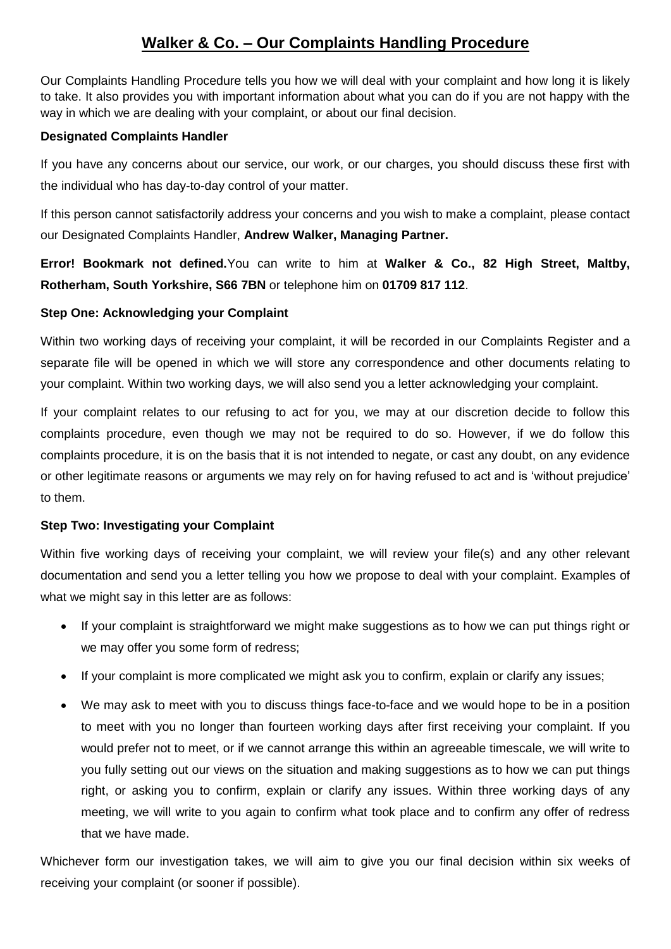# **Walker & Co. – Our Complaints Handling Procedure**

Our Complaints Handling Procedure tells you how we will deal with your complaint and how long it is likely to take. It also provides you with important information about what you can do if you are not happy with the way in which we are dealing with your complaint, or about our final decision.

# **Designated Complaints Handler**

If you have any concerns about our service, our work, or our charges, you should discuss these first with the individual who has day-to-day control of your matter.

If this person cannot satisfactorily address your concerns and you wish to make a complaint, please contact our Designated Complaints Handler, **Andrew Walker, Managing Partner.**

**Error! Bookmark not defined.**You can write to him at **Walker & Co., 82 High Street, Maltby, Rotherham, South Yorkshire, S66 7BN** or telephone him on **01709 817 112**.

# **Step One: Acknowledging your Complaint**

Within two working days of receiving your complaint, it will be recorded in our Complaints Register and a separate file will be opened in which we will store any correspondence and other documents relating to your complaint. Within two working days, we will also send you a letter acknowledging your complaint.

If your complaint relates to our refusing to act for you, we may at our discretion decide to follow this complaints procedure, even though we may not be required to do so. However, if we do follow this complaints procedure, it is on the basis that it is not intended to negate, or cast any doubt, on any evidence or other legitimate reasons or arguments we may rely on for having refused to act and is 'without prejudice' to them.

### **Step Two: Investigating your Complaint**

Within five working days of receiving your complaint, we will review your file(s) and any other relevant documentation and send you a letter telling you how we propose to deal with your complaint. Examples of what we might say in this letter are as follows:

- If your complaint is straightforward we might make suggestions as to how we can put things right or we may offer you some form of redress;
- If your complaint is more complicated we might ask you to confirm, explain or clarify any issues;
- We may ask to meet with you to discuss things face-to-face and we would hope to be in a position to meet with you no longer than fourteen working days after first receiving your complaint. If you would prefer not to meet, or if we cannot arrange this within an agreeable timescale, we will write to you fully setting out our views on the situation and making suggestions as to how we can put things right, or asking you to confirm, explain or clarify any issues. Within three working days of any meeting, we will write to you again to confirm what took place and to confirm any offer of redress that we have made.

Whichever form our investigation takes, we will aim to give you our final decision within six weeks of receiving your complaint (or sooner if possible).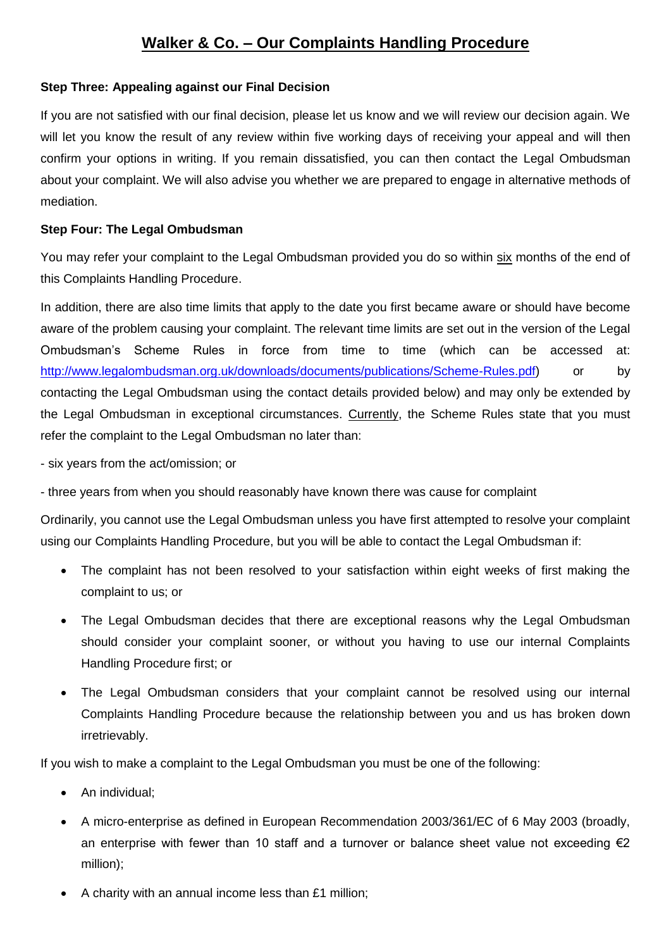# **Walker & Co. – Our Complaints Handling Procedure**

### **Step Three: Appealing against our Final Decision**

If you are not satisfied with our final decision, please let us know and we will review our decision again. We will let you know the result of any review within five working days of receiving your appeal and will then confirm your options in writing. If you remain dissatisfied, you can then contact the Legal Ombudsman about your complaint. We will also advise you whether we are prepared to engage in alternative methods of mediation.

#### **Step Four: The Legal Ombudsman**

You may refer your complaint to the Legal Ombudsman provided you do so within six months of the end of this Complaints Handling Procedure.

In addition, there are also time limits that apply to the date you first became aware or should have become aware of the problem causing your complaint. The relevant time limits are set out in the version of the Legal Ombudsman's Scheme Rules in force from time to time (which can be accessed at: [http://www.legalombudsman.org.uk/downloads/documents/publications/Scheme-Rules.pdf\)](http://www.legalombudsman.org.uk/downloads/documents/publications/Scheme-Rules.pdf) or by contacting the Legal Ombudsman using the contact details provided below) and may only be extended by the Legal Ombudsman in exceptional circumstances. Currently, the Scheme Rules state that you must refer the complaint to the Legal Ombudsman no later than:

- six years from the act/omission; or

- three years from when you should reasonably have known there was cause for complaint

Ordinarily, you cannot use the Legal Ombudsman unless you have first attempted to resolve your complaint using our Complaints Handling Procedure, but you will be able to contact the Legal Ombudsman if:

- The complaint has not been resolved to your satisfaction within eight weeks of first making the complaint to us; or
- The Legal Ombudsman decides that there are exceptional reasons why the Legal Ombudsman should consider your complaint sooner, or without you having to use our internal Complaints Handling Procedure first; or
- The Legal Ombudsman considers that your complaint cannot be resolved using our internal Complaints Handling Procedure because the relationship between you and us has broken down irretrievably.

If you wish to make a complaint to the Legal Ombudsman you must be one of the following:

- An individual;
- A micro-enterprise as defined in European Recommendation 2003/361/EC of 6 May 2003 (broadly, an enterprise with fewer than 10 staff and a turnover or balance sheet value not exceeding  $\epsilon_2$ million);
- A charity with an annual income less than £1 million;